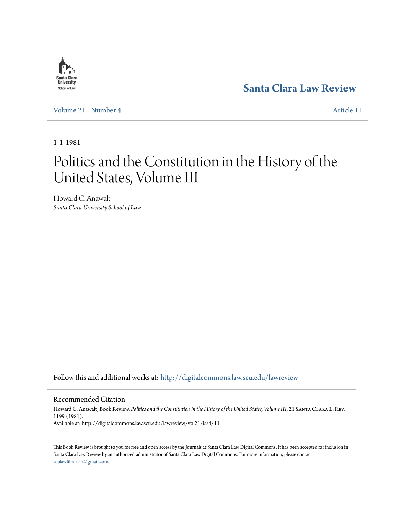

**[Santa Clara Law Review](http://digitalcommons.law.scu.edu/lawreview?utm_source=digitalcommons.law.scu.edu%2Flawreview%2Fvol21%2Fiss4%2F11&utm_medium=PDF&utm_campaign=PDFCoverPages)**

[Volume 21](http://digitalcommons.law.scu.edu/lawreview/vol21?utm_source=digitalcommons.law.scu.edu%2Flawreview%2Fvol21%2Fiss4%2F11&utm_medium=PDF&utm_campaign=PDFCoverPages) | [Number 4](http://digitalcommons.law.scu.edu/lawreview/vol21/iss4?utm_source=digitalcommons.law.scu.edu%2Flawreview%2Fvol21%2Fiss4%2F11&utm_medium=PDF&utm_campaign=PDFCoverPages) [Article 11](http://digitalcommons.law.scu.edu/lawreview/vol21/iss4/11?utm_source=digitalcommons.law.scu.edu%2Flawreview%2Fvol21%2Fiss4%2F11&utm_medium=PDF&utm_campaign=PDFCoverPages)

1-1-1981

## Politics and the Constitution in the History of the United States, Volume III

Howard C. Anawalt *Santa Clara University School of Law*

Follow this and additional works at: [http://digitalcommons.law.scu.edu/lawreview](http://digitalcommons.law.scu.edu/lawreview?utm_source=digitalcommons.law.scu.edu%2Flawreview%2Fvol21%2Fiss4%2F11&utm_medium=PDF&utm_campaign=PDFCoverPages)

Recommended Citation

Howard C. Anawalt, Book Review, Politics and the Constitution in the History of the United States, Volume III, 21 SANTA CLARA L. REV. 1199 (1981). Available at: http://digitalcommons.law.scu.edu/lawreview/vol21/iss4/11

This Book Review is brought to you for free and open access by the Journals at Santa Clara Law Digital Commons. It has been accepted for inclusion in Santa Clara Law Review by an authorized administrator of Santa Clara Law Digital Commons. For more information, please contact [sculawlibrarian@gmail.com](mailto:sculawlibrarian@gmail.com).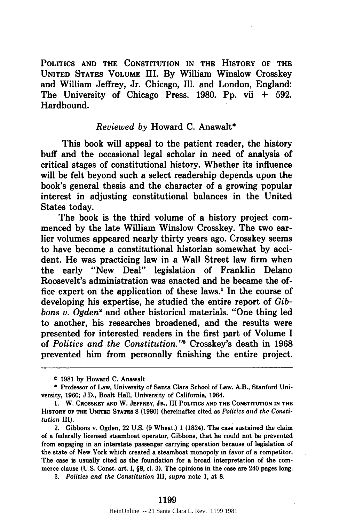**POLITICS AND THE CONSTITUTION IN THE HISTORY OF THE UNITED STATES VOLUME** III. **By** William Winslow Crosskey and William Jeffrey, Jr. Chicago, **Ill.** and London, England: The University of Chicago Press. **1980. Pp.** vii **+ 592.** Hardbound.

## *Reviewed by* Howard **C.** Anawalt\*

This book will appeal to the patient reader, the history buff and the occasional legal scholar in need of analysis of critical stages of constitutional history. Whether its influence will be felt beyond such a select readership depends upon the book's general thesis and the character of a growing popular interest in adjusting constitutional balances in the United States today.

The book is the third volume of a history project commenced **by** the late William Winslow Crosskey. The two earlier volumes appeared nearly thirty years ago. Crosskey seems to have become a constitutional historian somewhat **by** accident. He was practicing law in a Wall Street law firm when the early "New Deal" legislation of Franklin Delano Roosevelt's administration was enacted and he became the office expert on the application of these laws.<sup>1</sup> In the course of developing his expertise, he studied the entire report of *Gibbons v. Ogden2* and other historical materials. "One thing led to another, his researches broadened, and the results were presented for interested readers in the first part of Volume I of *Politics and the Constitution.'* Crosskey's death in 1968 prevented him from personally finishing the entire project.

*3. Politics and the Constitution* **III,** *supra* note **1,** at **8.**

**o 1981** by Howard C. Anawalt

<sup>\*</sup> Professor of Law, University of Santa Clara School of Law. A.B., Stanford University, 1960; J.D., Boalt Hall, University of California, 1964.

**<sup>1.</sup>** W. **CROSSKEY AND** W. **JEFFREY, JR., III POLITICS AND THE CONSTITUTION IN THE HISTORY OF THE UNITED STATES 8 (1980)** (hereinafter cited as *Politics and the Constitution* III).

<sup>2.</sup> Gibbons v. Ogden, 22 **U.S. (9** Wheat.) **1** (1824). The case sustained the claim of a federally licensed steamboat operator, Gibbons, that he could not be prevented from engaging in an interstate passenger carrying operation because of legislation of the state of New York which created a steamboat monopoly **in favor of a competitor.** The case is usually cited as the foundation for a broad interpretation of the commerce clause **(U.S.** Const. art. **I, §8, cl. 3).** The opinions in the case are 240 **pages long.**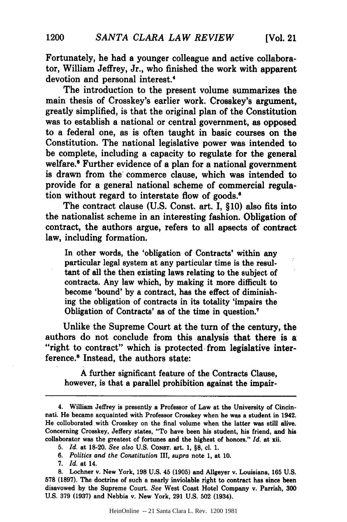Fortunately, he had a younger colleague and active collaborator, William Jeffrey, Jr., who finished the work with apparent devotion and personal interest.'

The introduction to the present volume summarizes the main thesis of Crosskey's earlier work. Crosskey's argument, greatly simplified, is that the original plan of the Constitution was to establish a national or central government, as opposed to a federal one, as is often taught in basic courses on the Constitution. The national legislative power was intended to be complete, including a capacity to regulate for the general welfare.' Further evidence of a plan for a national government is drawn from the commerce clause, which was intended to provide for a general national scheme of commercial regulation without regard to interstate flow of goods.'

The contract clause (U.S. Const. art. I, **§10)** also fits into the nationalist scheme in an interesting fashion. Obligation of contract, the authors argue, refers to all apsects of contract law, including formation.

In other words, the 'obligation of Contracts' within any particular legal system at any particular time is the resultant of all the then existing laws relating to the subject of contracts. Any law which, by making it more difficult to become 'bound' by a contract, has the effect of diminishing the obligation of contracts in its totality 'impairs the Obligation of Contracts' as of the time in question.'

Unlike the Supreme Court at the turn of the century, the authors do not conclude from this analysis that there is a "right to contract" which is protected from legislative interference.' Instead, the authors state:

A further significant feature of the Contracts Clause, however, is that a parallel prohibition against the impair-

<sup>4.</sup> William Jeffrey is presently a Professor of Law at the University of Cincinnati. He became acquainted with Professor Crosskey when he was a student in 1942. He colloborated with Crosskey on the final volume when the latter was still alive. Concerning Crosskey, Jeffery states, "To have been his student, his friend, and his collaborator was the greatest of fortunes and the highest of honors." *Id.* at xii.

*<sup>5.</sup> Id.* at 18-20. *See also* U.S. CONST. art. 1, **§8, cl.** 1.

*<sup>6.</sup> Politics and the Constitution* III, *supra* note 1, at 10.

<sup>7.</sup> *Id.* at 14.

**<sup>8.</sup>** Lochner v. New York, **198** U.S. 45 **(1905)** and Allgeyer v. Louisiana, **165** U.S. **578 (1897).** The doctrine of such a nearly inviolable right to contract has since been disavowed by the Supreme Court. *See* West Coast Hotel Company v. Parrish, **300** U.S. **379 (1937)** and Nebbia v. New York, **291** U.S. 502 (1934).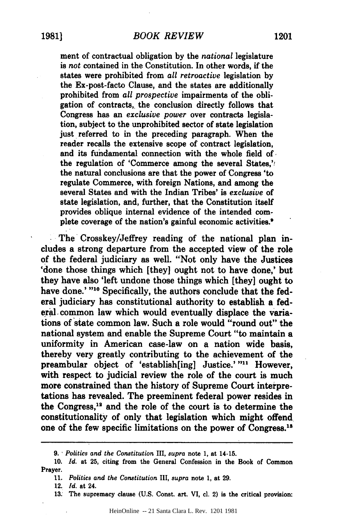ment of contractual obligation **by** the *national* legislature is *not* contained in the Constitution. In other words, if the states were prohibited from *all retroactive* legislation by the Ex-post-facto Clause, and the states are additionally prohibited from *all prospective* impairments of the obligation of contracts, the conclusion directly follows that Congress has an *exclusive power* over contracts legislation, subject to the unprohibited sector of state legislation just referred to in the preceding paragraph. When the reader recalls the extensive scope of contract legislation, and its fundamental connection with the whole field of. the regulation of 'Commerce among the several States,'! the natural conclusions are that the power of Congress 'to regulate Commerce, with foreign Nations, and among the several States and with the Indian Tribes' is *exclusive* of state legislation, and, further, that the Constitution itself provides oblique internal evidence of the intended complete coverage of the nation's gainful economic activities.'

The Crosskey/Jeffrey reading of the national plan includes a strong departure from the accepted view of the role **of** the federal judiciary as well. "Not only have the Justices 'done those things which [they] ought not to have done,' but they have also 'left undone those things which [they] ought to have done.' **"10** Specifically, the authors conclude that the federal judiciary has constitutional authority to establish a federal common law which would eventually displace the variations of state common law. Such a role would "round out" the national system and enable the Supreme Court "to maintain a uniformity in American case-law on a nation wide basis, thereby very greatly contributing to the achievement of the preambular object of 'establish[ing] Justice.' "<sup>11</sup> However, with respect to judicial review the role of the court is much more constrained than the history of Supreme Court interpretations has revealed. The preeminent federal power resides in the Congress,<sup>12</sup> and the role of the court is to determine the constitutionality of only that legislation which might offend one of the few specific limitations on the power of Congress.<sup>13</sup>

**<sup>9.</sup>** *Politics and the Constitution* III, *supra* note **1,** at 14-15.

**<sup>10.</sup>** *Id.* at **25,** citing from the General Confession in the Book of Common Prayer.

**<sup>11.</sup>** *Politics and the Constitution* III, *supra* note 1, at **29.**

<sup>12.</sup> *Id.* at 24.

**<sup>13.</sup>** The supremacy clause **(U.S.** Const. art. VI, **cl.** 2) is the critical provision: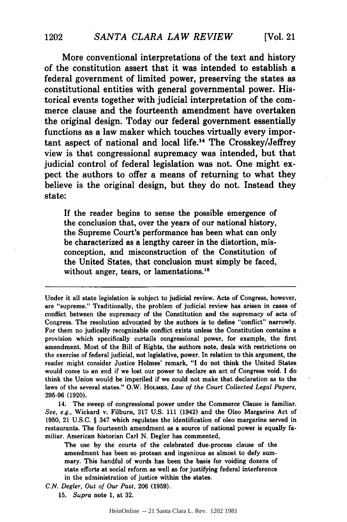More conventional interpretations of the text and history of the constitution assert that it was intended to establish a federal government of limited power, preserving the states as constitutional entities with general governmental power. Historical events together with judicial interpretation of the commerce clause and the fourteenth amendment have overtaken the original design. Today our federal government essentially functions as a law maker which touches virtually every important aspect of national and local life.<sup>14</sup> The Crosskey/Jeffrey view is that congressional supremacy was intended, but that judicial control of federal legislation was not. One might expect the authors to offer a means of returning to what they believe is the original design, but they do not. Instead they state:

If the reader begins to sense the possible emergence of the conclusion that, over the years of our national history, the Supreme Court's performance has been what can only be characterized as a lengthy career in the distortion, misconception, and misconstruction of the Constitution of the United States, that conclusion must simply be faced, without anger, tears, or lamentations.<sup>15</sup>

14. The sweep of congressional power under the Commerce Clause is familiar. *See, e.g.,* Wickard v. Filburn, 317 U.S. 111 (1942) and the Oleo Margarine Act of 1950, 21 U.S.C. § 347 which regulates the identification of oleo margarine served in restaurants. The fourteenth amendment as a source of national power is equally familiar. American historian Carl N. Degler has commented,

The use by the courts of the celebrated due-process clause of the amendment has been so protean and ingenious as almost to defy summary. This handful of words has been the basis for voiding dozens of state efforts at social reform as well as for justifying federal interference in the administration of justice within the states.

*C.N. Degler, Out of* Our *Past,* 206 (1959).

15. Supra note 1, at 32.

Under it all state legislation is subject to judicial review. Acts of Congress, however, are "supreme." Traditionally, the problem of judicial review has arisen in cases of conflict between the supremacy of the Constitution and the supremacy of acts of Congress. The resolution advocated by the authors is to define "conflict" narrowly. For them no judically recognizable conflict exists unless the Constitution contains a provision which specifically curtails congressional power, for example, the first amendment. Most of the Bill of Rights, the authors note, deals with restrictions on the exercise of federal judicial, not legislative, power. In relation to this argument, the reader might consider Justice Holmes' remark, "I do not think the United States would come to an end if we lost our power to declare an act of Congress void. I do think the Union would be imperiled if we could not make that declaration as to the laws of the several states." O.W. **HOLMES,** *Law of the Court Collected Legal Papers,* 295-96 (1920).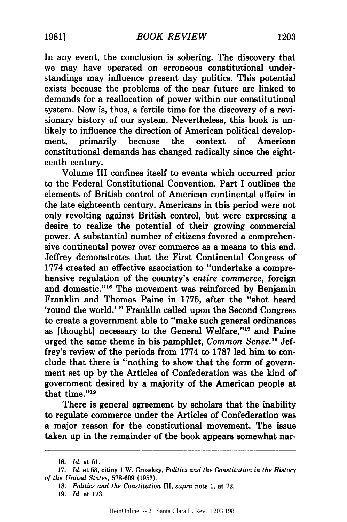In any event, the conclusion is sobering. The discovery that we may have operated on erroneous constitutional understandings may influence present day politics. This potential exists because the problems of the near future are linked to demands for a reallocation of power within our constitutional system. Now is, thus, a fertile time for the discovery of a revisionary history of our system. Nevertheless, this book is unlikely to influence the direction of American political development, primarily because the context of American constitutional demands has changed radically since the eighteenth century.

Volume III confines itself to events which occurred prior to the Federal Constitutional Convention. Part I outlines the elements of British control of American continental affairs in the late eighteenth century. Americans in this period were not only revolting against British control, but were expressing a desire to realize the potential of their growing commercial power. A substantial number of citizens favored a comprehensive continental power over commerce as a means to this end. Jeffrey demonstrates that the First Continental Congress of 1774 created an effective association to "undertake a comprehensive regulation of the country's *entire commerce,* foreign and domestic."<sup>16</sup> The movement was reinforced by Benjamin Franklin and Thomas Paine in 1775, after the "shot heard 'round the world.' " Franklin called upon the Second Congress to create a government able to "make such general ordinances as [thought] necessary to the General Welfare,"<sup>17</sup> and Paine urged the same theme in his pamphlet, *Common Sense*.<sup>18</sup> Jeffrey's review of the periods from 1774 to 1787 led him to conclude that there is "nothing to show that the form of government set up by the Articles of Confederation was the kind of government desired by a majority of the American people at that time."<sup>19</sup>

There is general agreement by scholars that the inability to regulate commerce under the Articles of Confederation was a major reason for the constitutional movement. The issue taken up in the remainder of the book appears somewhat nar-

<sup>16.</sup> Id. at 51.

<sup>17.</sup> *Id.* at 53, citing 1 W. Crosskey, *Politics and the Constitution in the History of the United States,* 578-609 (1953).

<sup>18.</sup> *Politics and the Constitution* III, *supra* note 1, at 72.

<sup>19.</sup> *Id.* at 123.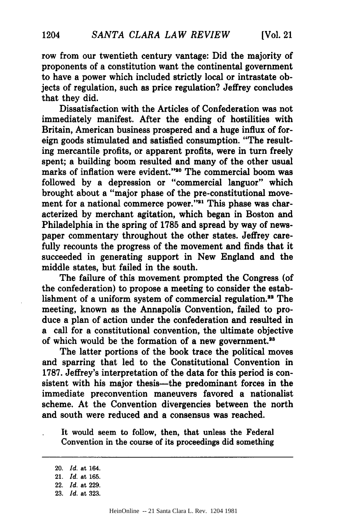row from our twentieth century vantage: Did the majority of proponents of a constitution want the continental government to have a power which included strictly local or intrastate objects of regulation, such as price regulation? Jeffrey concludes that they did.

Dissatisfaction with the Articles of Confederation was not immediately manifest. After the ending of hostilities with Britain, American business prospered and a huge influx of foreign goods stimulated and satisfied consumption. "The resulting mercantile profits, or apparent profits, were in turn freely spent; a building boom resulted and many of the other usual marks of inflation were evident."20 The commercial boom was followed **by** a depression or "commercial languor" which brought about a "major phase of the pre-constitutional movement for a national commerce power."<sup>21</sup> This phase was characterized **by** merchant agitation, which began in Boston and Philadelphia in the spring of **1785** and spread **by** way of newspaper commentary throughout the other states. Jeffrey carefully recounts the progress of the movement and finds that it succeeded in generating support in New England and the middle states, but failed in the south.

The failure of this movement prompted the Congress (of the confederation) to propose a meeting to consider the establishment of a uniform system of commercial regulation.<sup>22</sup> The meeting, known as the Annapolis Convention, failed to produce a plan of action under the confederation and resulted in a call for a constitutional convention, the ultimate objective of which would be the formation of a new government.<sup>28</sup>

The latter portions of the book trace the political moves and sparring that led to the Constitutional Convention in **1787.** Jeffrey's interpretation of the data for this period is consistent with his major thesis-the predominant forces in the immediate preconvention maneuvers favored a nationalist scheme. At the Convention divergencies between the north and south were reduced and a consensus was reached.

It would seem to follow, then, that unless the Federal Convention in the course of its proceedings did something

<sup>20.</sup> *Id.* at 164.

<sup>21.</sup> *Id.* at 165.

<sup>22.</sup> *Id.* at **229.**

**<sup>23.</sup>** *Id.* at **323.**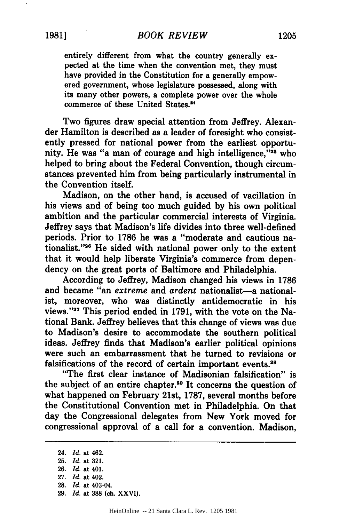entirely different from what the country generally expected at the time when the convention met, they must have provided in the Constitution for a generally empowered government, whose legislature possessed, along with its many other powers, a complete power over the whole commerce of these United States.<sup>34</sup>

Two figures draw special attention from Jeffrey. Alexander Hamilton is described as a leader of foresight who consistently pressed for national power from the earliest opportunity. He was "a man of courage and high intelligence."<sup>25</sup> who helped to bring about the Federal Convention, though circumstances prevented him from being particularly instrumental in the Convention itself.

Madison, on the other hand, is accused of vacillation in his views and of being too much guided **by** his own political ambition and the particular commercial interests of Virginia. Jeffrey says that Madison's life divides into three well-defined periods. Prior to **1786** he was a "moderate and cautious nationalist."<sup>26</sup> He sided with national power only to the extent that it would help liberate Virginia's commerce from dependency on the great ports of Baltimore and Philadelphia.

According to Jeffrey, Madison changed his views in **1786** and became "an *extreme* and *ardent* nationalist-a nationalist, moreover, who was distinctly antidemocratic in his views."'27 This period ended in **1791,** with the vote on the National Bank. Jeffrey believes that this change of views was due to Madison's desire to accommodate the southern political ideas. Jeffrey finds that Madison's earlier political opinions were such an embarrassment that he turned to revisions or falsifications of the record of certain important events.<sup>28</sup>

"The first clear instance of Madisonian falsification" is the subject of an entire chapter.<sup>29</sup> It concerns the question of what happened on February 21st, **1787,** several months before the Constitutional Convention met in Philadelphia. On that day the Congressional delegates from New York moved for congressional approval of a call for a convention. Madison,

<sup>24.</sup> *Id.* at 462.

**<sup>25.</sup>** *Id.* at **321.**

**<sup>26.</sup>** *Id.* at 401. **27.** *Id.* at 402.

**<sup>28.</sup>** *Id.* at 403-04. **29.** *Id.* at **388** (ch. **XXVI).**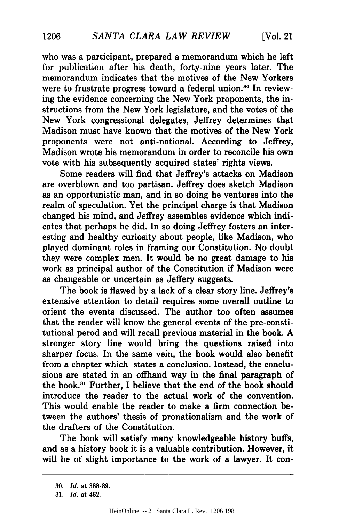who was a participant, prepared a memorandum which he left for publication after his death, forty-nine years later. The memorandum indicates that the motives of the New Yorkers were to frustrate progress toward a federal union.<sup>30</sup> In reviewing the evidence concerning the New York proponents, the instructions from the New York legislature, and the votes of the New York congressional delegates, Jeffrey determines that Madison must have known that the motives of the New York proponents were not anti-national. According to Jeffrey, Madison wrote his memorandum in order to reconcile his own vote with his subsequently acquired states' rights views.

Some readers will find that Jeffrey's attacks on Madison are overblown and too partisan. Jeffrey does sketch Madison as an opportunistic man, and in so doing he ventures into the realm of speculation. Yet the principal charge is that Madison changed his mind, and Jeffrey assembles evidence which indicates that perhaps he did. In so doing Jeffrey fosters an interesting and healthy curiosity about people, like Madison, who played dominant roles in framing our Constitution. No doubt they were complex men. It would be no great damage to his work as principal author of the Constitution if Madison were as changeable or uncertain as Jeffery suggests.

The book is flawed by a lack of a clear story line. Jeffrey's extensive attention to detail requires some overall outline to orient the events discussed. The author too often assumes that the reader will know the general events of the pre-constitutional perod and will recall previous material in the book. **A** stronger story line would bring the questions raised into sharper focus. In the same vein, the book would also benefit from a chapter which states a conclusion. Instead, the conclusions are stated in an offhand way in the final paragraph of the book.<sup>31</sup> Further, I believe that the end of the book should introduce the reader to the actual work of the convention. This would enable the reader to make a firm connection between the authors' thesis of pronationalism and the work of the drafters of the Constitution.

The book will satisfy many knowledgeable history buffs, and as a history book it is a valuable contribution. However, it will be of slight importance to the work of a lawyer. It con-

**<sup>30.</sup>** *Id.* at 388-89.

**<sup>31.</sup>** *Id.* at 462.